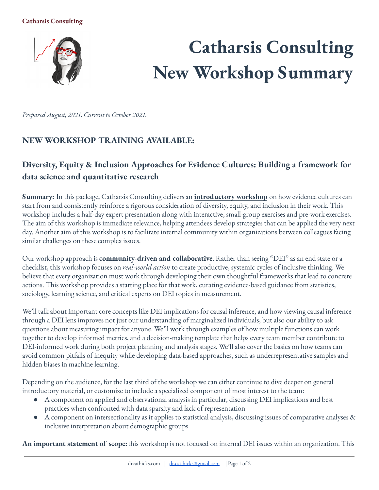#### **Catharsis Consulting**



*Prepared August, 2021. Current to October 2021.*

### **NEW WORKSHOP TRAINING AVAILABLE:**

## **Diversity, Equity & Inclusion Approaches for Evidence Cultures: Building a framework for data science and quantitative research**

**Summary:** In this package, Catharsis Consulting delivers an **introductory workshop** on how evidence cultures can start from and consistently reinforce a rigorous consideration of diversity, equity, and inclusion in their work. This workshop includes a half-day expert presentation along with interactive, small-group exercises and pre-work exercises. The aim of this workshop is immediate relevance, helping attendees develop strategies that can be applied the very next day. Another aim of this workshop is to facilitate internal community within organizations between colleagues facing similar challenges on these complex issues.

Our workshop approach is **community-driven and collaborative.** Rather than seeing "DEI" as an end state or a checklist, this workshop focuses on *real-world action* to create productive, systemic cycles of inclusive thinking. We believe that every organization must work through developing their own thoughtful frameworks that lead to concrete actions. This workshop provides a starting place for that work, curating evidence-based guidance from statistics, sociology, learning science, and critical experts on DEI topics in measurement.

We'll talk about important core concepts like DEI implications for causal inference, and how viewing causal inference through a DEI lens improves not just our understanding of marginalized individuals, but also our ability to ask questions about measuring impact for anyone. We'll work through examples of how multiple functions can work together to develop informed metrics, and a decision-making template that helps every team member contribute to DEI-informed work during both project planning and analysis stages. We'll also cover the basics on how teams can avoid common pitfalls of inequity while developing data-based approaches, such as underrepresentative samples and hidden biases in machine learning.

Depending on the audience, for the last third of the workshop we can either continue to dive deeper on general introductory material, or customize to include a specialized component of most interest to the team:

- A component on applied and observational analysis in particular, discussing DEI implications and best practices when confronted with data sparsity and lack of representation
- A component on intersectionality as it applies to statistical analysis, discussing issues of comparative analyses  $\&$ inclusive interpretation about demographic groups

**An important statement of scope:**this workshop is not focused on internal DEI issues within an organization. This